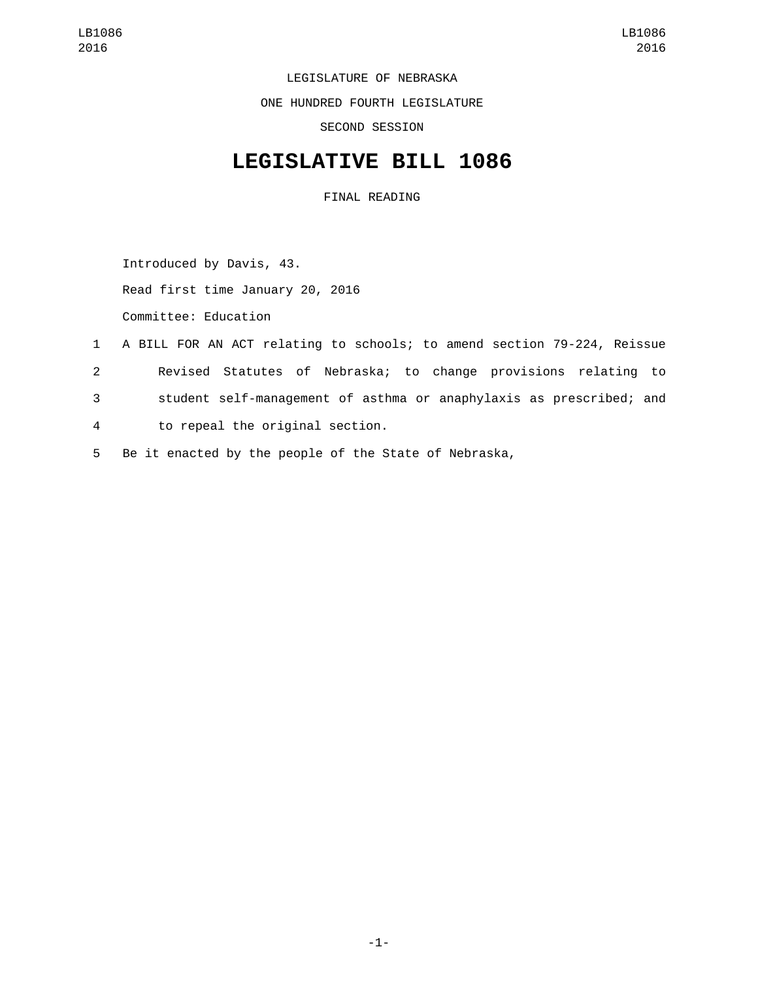LEGISLATURE OF NEBRASKA

ONE HUNDRED FOURTH LEGISLATURE

SECOND SESSION

## **LEGISLATIVE BILL 1086**

FINAL READING

Introduced by Davis, 43.

Read first time January 20, 2016

Committee: Education

- 1 A BILL FOR AN ACT relating to schools; to amend section 79-224, Reissue
- 2 Revised Statutes of Nebraska; to change provisions relating to
- 3 student self-management of asthma or anaphylaxis as prescribed; and
- to repeal the original section.4
- 5 Be it enacted by the people of the State of Nebraska,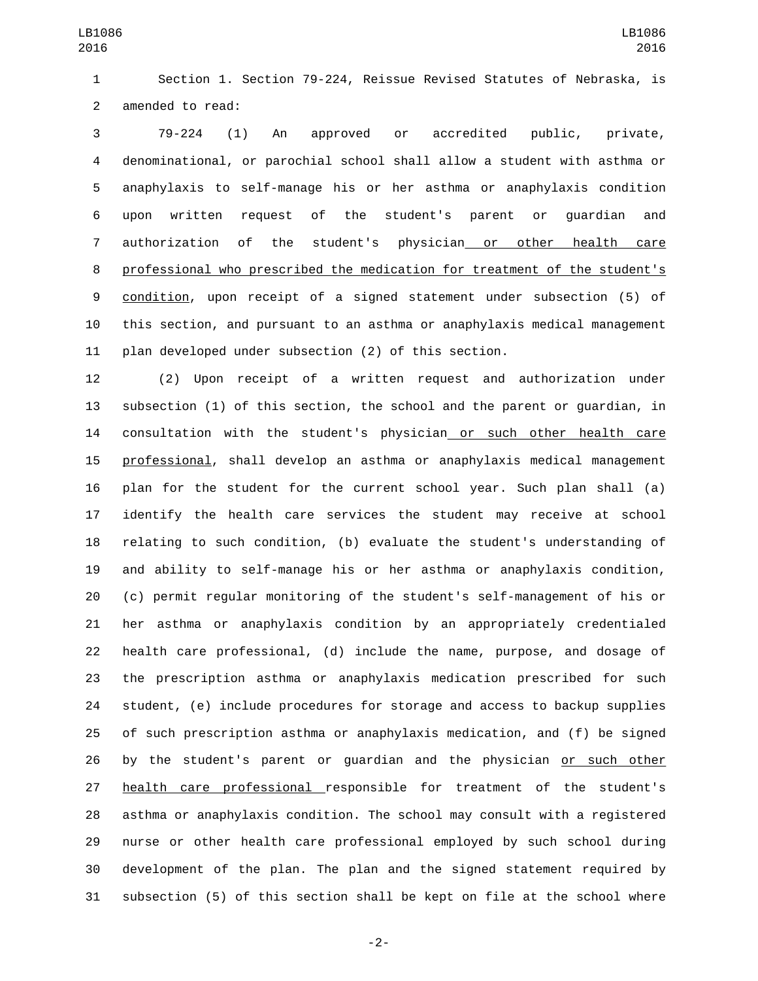Section 1. Section 79-224, Reissue Revised Statutes of Nebraska, is 2 amended to read:

 79-224 (1) An approved or accredited public, private, denominational, or parochial school shall allow a student with asthma or anaphylaxis to self-manage his or her asthma or anaphylaxis condition upon written request of the student's parent or guardian and authorization of the student's physician or other health care professional who prescribed the medication for treatment of the student's condition, upon receipt of a signed statement under subsection (5) of this section, and pursuant to an asthma or anaphylaxis medical management plan developed under subsection (2) of this section.

 (2) Upon receipt of a written request and authorization under subsection (1) of this section, the school and the parent or guardian, in consultation with the student's physician or such other health care professional, shall develop an asthma or anaphylaxis medical management plan for the student for the current school year. Such plan shall (a) identify the health care services the student may receive at school relating to such condition, (b) evaluate the student's understanding of and ability to self-manage his or her asthma or anaphylaxis condition, (c) permit regular monitoring of the student's self-management of his or her asthma or anaphylaxis condition by an appropriately credentialed health care professional, (d) include the name, purpose, and dosage of the prescription asthma or anaphylaxis medication prescribed for such student, (e) include procedures for storage and access to backup supplies of such prescription asthma or anaphylaxis medication, and (f) be signed by the student's parent or guardian and the physician or such other health care professional responsible for treatment of the student's asthma or anaphylaxis condition. The school may consult with a registered nurse or other health care professional employed by such school during development of the plan. The plan and the signed statement required by subsection (5) of this section shall be kept on file at the school where

-2-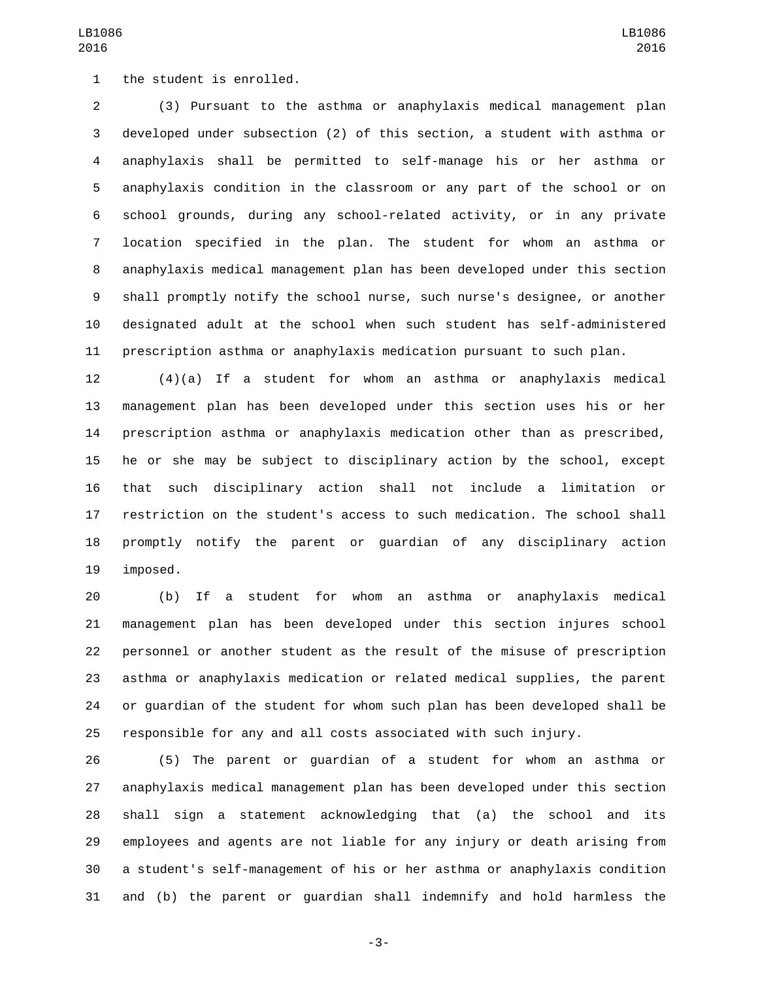1 the student is enrolled.

 (3) Pursuant to the asthma or anaphylaxis medical management plan developed under subsection (2) of this section, a student with asthma or anaphylaxis shall be permitted to self-manage his or her asthma or anaphylaxis condition in the classroom or any part of the school or on school grounds, during any school-related activity, or in any private location specified in the plan. The student for whom an asthma or anaphylaxis medical management plan has been developed under this section shall promptly notify the school nurse, such nurse's designee, or another designated adult at the school when such student has self-administered prescription asthma or anaphylaxis medication pursuant to such plan.

 (4)(a) If a student for whom an asthma or anaphylaxis medical management plan has been developed under this section uses his or her prescription asthma or anaphylaxis medication other than as prescribed, he or she may be subject to disciplinary action by the school, except that such disciplinary action shall not include a limitation or restriction on the student's access to such medication. The school shall promptly notify the parent or guardian of any disciplinary action 19 imposed.

 (b) If a student for whom an asthma or anaphylaxis medical management plan has been developed under this section injures school personnel or another student as the result of the misuse of prescription asthma or anaphylaxis medication or related medical supplies, the parent or guardian of the student for whom such plan has been developed shall be responsible for any and all costs associated with such injury.

 (5) The parent or guardian of a student for whom an asthma or anaphylaxis medical management plan has been developed under this section shall sign a statement acknowledging that (a) the school and its employees and agents are not liable for any injury or death arising from a student's self-management of his or her asthma or anaphylaxis condition and (b) the parent or guardian shall indemnify and hold harmless the

-3-